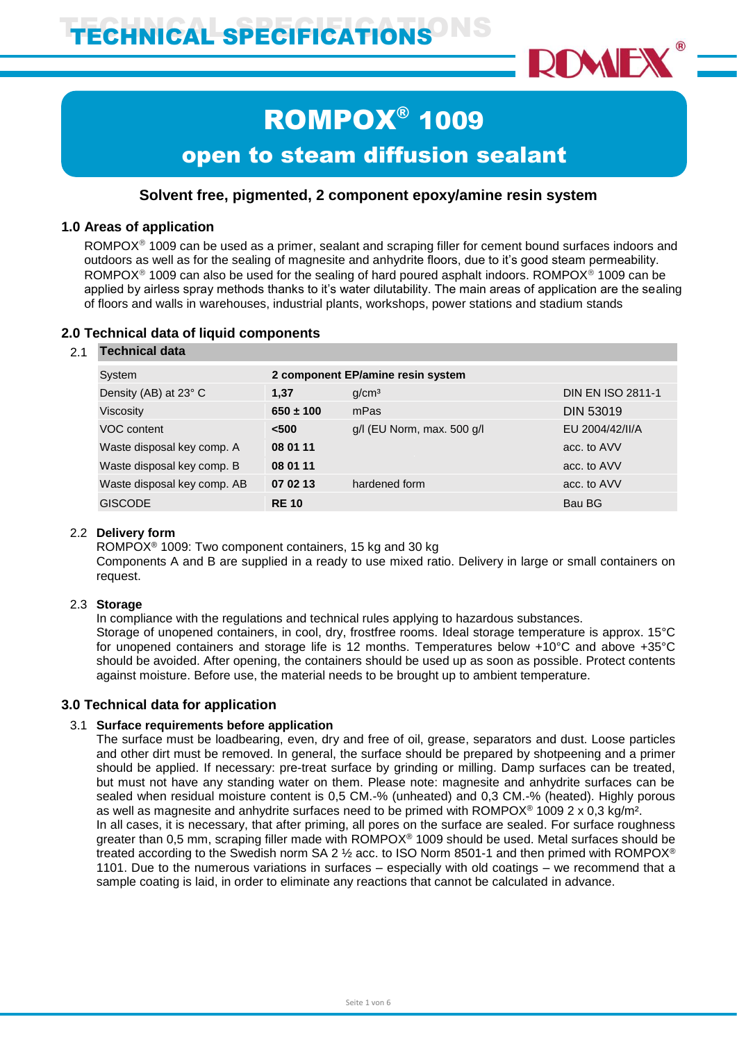

# ROMPOX® 1009 open to steam diffusion sealant

# **Solvent free, pigmented, 2 component epoxy/amine resin system**

## **1.0 Areas of application**

ROMPOX<sup>®</sup> 1009 can be used as a primer, sealant and scraping filler for cement bound surfaces indoors and outdoors as well as for the sealing of magnesite and anhydrite floors, due to it's good steam permeability. ROMPOX<sup>®</sup> 1009 can also be used for the sealing of hard poured asphalt indoors. ROMPOX<sup>®</sup> 1009 can be applied by airless spray methods thanks to it's water dilutability. The main areas of application are the sealing of floors and walls in warehouses, industrial plants, workshops, power stations and stadium stands

## **2.0 Technical data of liquid components**

#### 2.1 **Technical data**

| System                      |               | 2 component EP/amine resin system |                          |
|-----------------------------|---------------|-----------------------------------|--------------------------|
| Density (AB) at 23° C       | 1.37          | q/cm <sup>3</sup>                 | <b>DIN EN ISO 2811-1</b> |
| <b>Viscosity</b>            | $650 \pm 100$ | mPas                              | <b>DIN 53019</b>         |
| VOC content                 | < 500         | g/l (EU Norm, max. 500 g/l        | EU 2004/42/II/A          |
| Waste disposal key comp. A  | 08 01 11      |                                   | acc. to AVV              |
| Waste disposal key comp. B  | 08 01 11      |                                   | acc. to AVV              |
| Waste disposal key comp. AB | 07 02 13      | hardened form                     | acc. to AVV              |
| <b>GISCODE</b>              | <b>RE10</b>   |                                   | Bau BG                   |

## 2.2 **Delivery form**

ROMPOX<sup>®</sup> 1009: Two component containers, 15 kg and 30 kg

Components A and B are supplied in a ready to use mixed ratio. Delivery in large or small containers on request.

## 2.3 **Storage**

In compliance with the regulations and technical rules applying to hazardous substances. Storage of unopened containers, in cool, dry, frostfree rooms. Ideal storage temperature is approx. 15°C for unopened containers and storage life is 12 months. Temperatures below +10°C and above +35°C should be avoided. After opening, the containers should be used up as soon as possible. Protect contents against moisture. Before use, the material needs to be brought up to ambient temperature.

## **3.0 Technical data for application**

## 3.1 **Surface requirements before application**

The surface must be loadbearing, even, dry and free of oil, grease, separators and dust. Loose particles and other dirt must be removed. In general, the surface should be prepared by shotpeening and a primer should be applied. If necessary: pre-treat surface by grinding or milling. Damp surfaces can be treated, but must not have any standing water on them. Please note: magnesite and anhydrite surfaces can be sealed when residual moisture content is 0,5 CM.-% (unheated) and 0,3 CM.-% (heated). Highly porous as well as magnesite and anhydrite surfaces need to be primed with ROMPOX<sup>®</sup> 1009 2 x 0,3 kg/m<sup>2</sup>. In all cases, it is necessary, that after priming, all pores on the surface are sealed. For surface roughness greater than 0,5 mm, scraping filler made with ROMPOX<sup>®</sup> 1009 should be used. Metal surfaces should be treated according to the Swedish norm SA 2 ½ acc. to ISO Norm 8501-1 and then primed with ROMPOX® 1101. Due to the numerous variations in surfaces – especially with old coatings – we recommend that a sample coating is laid, in order to eliminate any reactions that cannot be calculated in advance.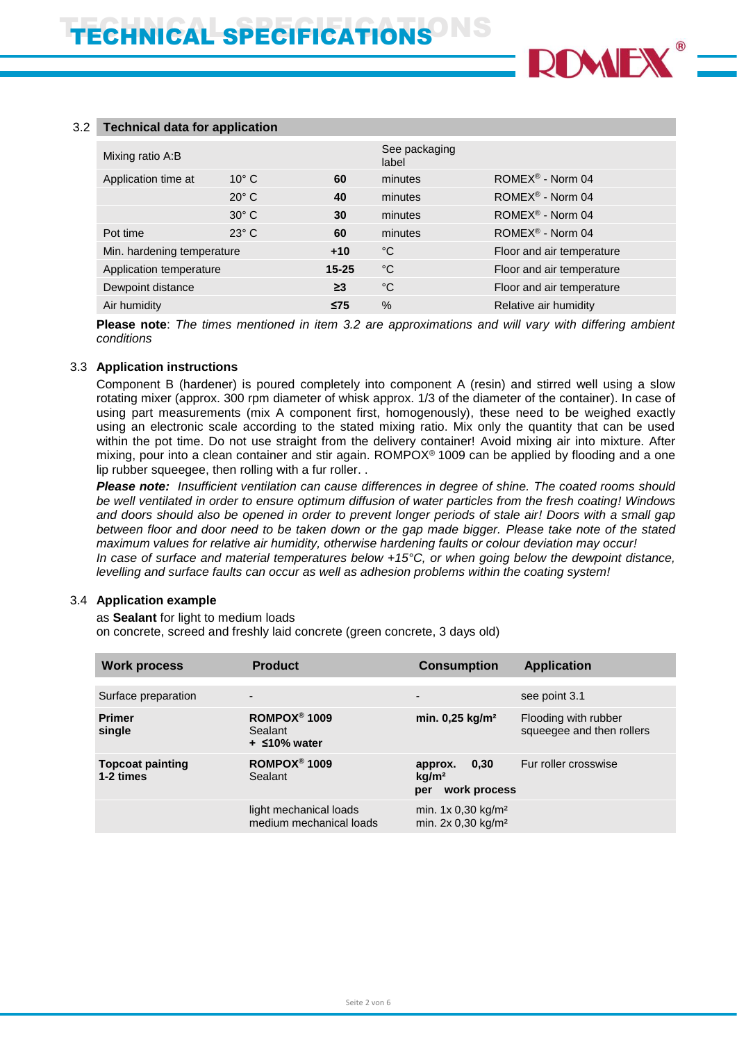

#### 3.2 **Technical data for application**

| Mixing ratio A:B           |                |           | See packaging<br>label |                               |
|----------------------------|----------------|-----------|------------------------|-------------------------------|
| Application time at        | $10^{\circ}$ C | 60        | minutes                | ROMEX <sup>®</sup> - Norm 04  |
|                            | $20^\circ$ C   | 40        | minutes                | ROMEX <sup>®</sup> - Norm 04  |
|                            | $30^\circ$ C   | 30        | minutes                | ROMEX <sup>®</sup> - Norm 04  |
| Pot time                   | $23^\circ$ C   | 60        | minutes                | $ROMEX^{\circledR}$ - Norm 04 |
| Min. hardening temperature |                | $+10$     | °C                     | Floor and air temperature     |
| Application temperature    |                | $15 - 25$ | °C                     | Floor and air temperature     |
| Dewpoint distance          |                | $\geq$ 3  | °C                     | Floor and air temperature     |
| Air humidity               |                | $\leq$ 75 | %                      | Relative air humidity         |

**Please note**: *The times mentioned in item 3.2 are approximations and will vary with differing ambient conditions*

#### 3.3 **Application instructions**

Component B (hardener) is poured completely into component A (resin) and stirred well using a slow rotating mixer (approx. 300 rpm diameter of whisk approx. 1/3 of the diameter of the container). In case of using part measurements (mix A component first, homogenously), these need to be weighed exactly using an electronic scale according to the stated mixing ratio. Mix only the quantity that can be used within the pot time. Do not use straight from the delivery container! Avoid mixing air into mixture. After mixing, pour into a clean container and stir again. ROMPOX® 1009 can be applied by flooding and a one lip rubber squeegee, then rolling with a fur roller. .

*Please note: Insufficient ventilation can cause differences in degree of shine. The coated rooms should be well ventilated in order to ensure optimum diffusion of water particles from the fresh coating! Windows and doors should also be opened in order to prevent longer periods of stale air! Doors with a small gap between floor and door need to be taken down or the gap made bigger. Please take note of the stated maximum values for relative air humidity, otherwise hardening faults or colour deviation may occur! In case of surface and material temperatures below +15°C, or when going below the dewpoint distance, levelling and surface faults can occur as well as adhesion problems within the coating system!*

#### 3.4 **Application example**

as **Sealant** for light to medium loads on concrete, screed and freshly laid concrete (green concrete, 3 days old)

| <b>Work process</b>                  | <b>Product</b>                                               | <b>Consumption</b>                                          | <b>Application</b>                                |
|--------------------------------------|--------------------------------------------------------------|-------------------------------------------------------------|---------------------------------------------------|
| Surface preparation                  | $\overline{\phantom{0}}$                                     | $\overline{\phantom{a}}$                                    | see point 3.1                                     |
| <b>Primer</b><br>single              | ROMPOX <sup>®</sup> 1009<br>Sealant<br>$+$ $\leq 10\%$ water | min. 0,25 kg/m <sup>2</sup>                                 | Flooding with rubber<br>squeegee and then rollers |
| <b>Topcoat painting</b><br>1-2 times | ROMPOX <sup>®</sup> 1009<br>Sealant                          | 0.30<br>approx.<br>kg/m <sup>2</sup><br>work process<br>per | Fur roller crosswise                              |
|                                      | light mechanical loads<br>medium mechanical loads            | min. $1x 0.30 kg/m2$<br>min. 2x 0,30 kg/m <sup>2</sup>      |                                                   |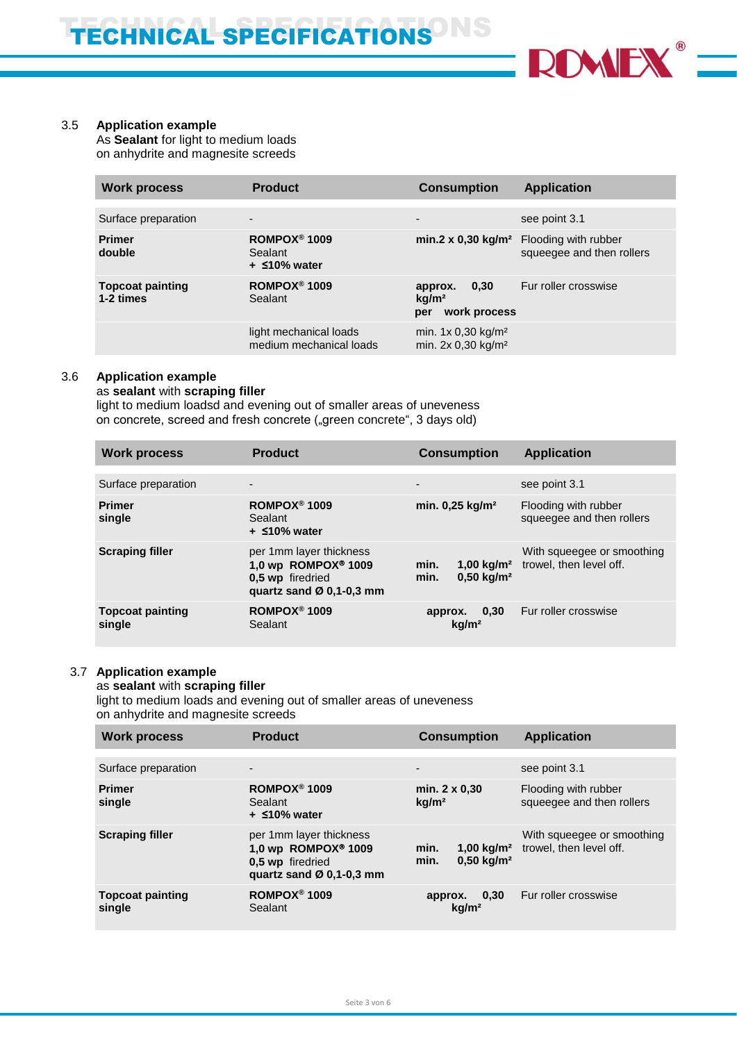

#### 3.5 **Application example**

As **Sealant** for light to medium loads on anhydrite and magnesite screeds

| <b>Work process</b>                  | <b>Product</b>                                               | <b>Consumption</b>                                          |                                                                                         |
|--------------------------------------|--------------------------------------------------------------|-------------------------------------------------------------|-----------------------------------------------------------------------------------------|
| Surface preparation                  | $\overline{\phantom{0}}$                                     | $\overline{\phantom{0}}$                                    | see point 3.1                                                                           |
| <b>Primer</b><br>double              | ROMPOX <sup>®</sup> 1009<br>Sealant<br>$+$ $\leq 10\%$ water |                                                             | $min.2 \times 0,30$ kg/m <sup>2</sup> Flooding with rubber<br>squeegee and then rollers |
| <b>Topcoat painting</b><br>1-2 times | ROMPOX <sup>®</sup> 1009<br>Sealant                          | 0.30<br>approx.<br>ka/m <sup>2</sup><br>work process<br>per | Fur roller crosswise                                                                    |
|                                      | light mechanical loads<br>medium mechanical loads            | min. $1x 0,30 kg/m2$<br>min. 2x 0,30 kg/m <sup>2</sup>      |                                                                                         |

## 3.6 **Application example**

#### as **sealant** with **scraping filler**

light to medium loadsd and evening out of smaller areas of uneveness on concrete, screed and fresh concrete ("green concrete", 3 days old)

| <b>Work process</b>               | <b>Product</b>                                                                                   | <b>Consumption</b>                                             | <b>Application</b>                                    |
|-----------------------------------|--------------------------------------------------------------------------------------------------|----------------------------------------------------------------|-------------------------------------------------------|
| Surface preparation               | $\overline{\phantom{a}}$                                                                         | $\overline{\phantom{0}}$                                       | see point 3.1                                         |
| <b>Primer</b><br>single           | ROMPOX <sup>®</sup> 1009<br>Sealant<br>$+$ $\leq 10\%$ water                                     | min. $0.25$ kg/m <sup>2</sup>                                  | Flooding with rubber<br>squeeqee and then rollers     |
| <b>Scraping filler</b>            | per 1mm layer thickness<br>1,0 wp ROMPOX® 1009<br>0.5 wp firedried<br>quartz sand $Ø$ 0,1-0,3 mm | min.<br>$1,00 \text{ kg/m}^2$<br>$0.50 \text{ kg/m}^2$<br>min. | With squeegee or smoothing<br>trowel, then level off. |
| <b>Topcoat painting</b><br>single | ROMPOX <sup>®</sup> 1009<br>Sealant                                                              | approx. 0,30<br>kg/m <sup>2</sup>                              | Fur roller crosswise                                  |

## 3.7 **Application example**

as **sealant** with **scraping filler**

light to medium loads and evening out of smaller areas of uneveness on anhydrite and magnesite screeds

| <b>Work process</b>               | <b>Product</b><br><b>Consumption</b>                                                                                   |                                                       | <b>Application</b>                                    |
|-----------------------------------|------------------------------------------------------------------------------------------------------------------------|-------------------------------------------------------|-------------------------------------------------------|
|                                   |                                                                                                                        |                                                       |                                                       |
| Surface preparation               | $\overline{\phantom{0}}$                                                                                               | $\overline{\phantom{0}}$                              | see point 3.1                                         |
| <b>Primer</b><br>single           | ROMPOX <sup>®</sup> 1009<br>Sealant<br>$+$ $\leq$ 10% water                                                            | min. 2 x 0.30<br>kg/m <sup>2</sup>                    | Flooding with rubber<br>squeegee and then rollers     |
| <b>Scraping filler</b>            | per 1mm layer thickness<br>1,0 wp ROMPOX <sup>®</sup> 1009<br>0,5 wp firedried<br>quartz sand $\varnothing$ 0,1-0,3 mm | min.<br>1,00 $kg/m2$<br>$0.50 \text{ kg/m}^2$<br>min. | With squeegee or smoothing<br>trowel, then level off. |
| <b>Topcoat painting</b><br>single | ROMPOX <sup>®</sup> 1009<br>Sealant                                                                                    | approx. $0,30$<br>kg/m <sup>2</sup>                   | Fur roller crosswise                                  |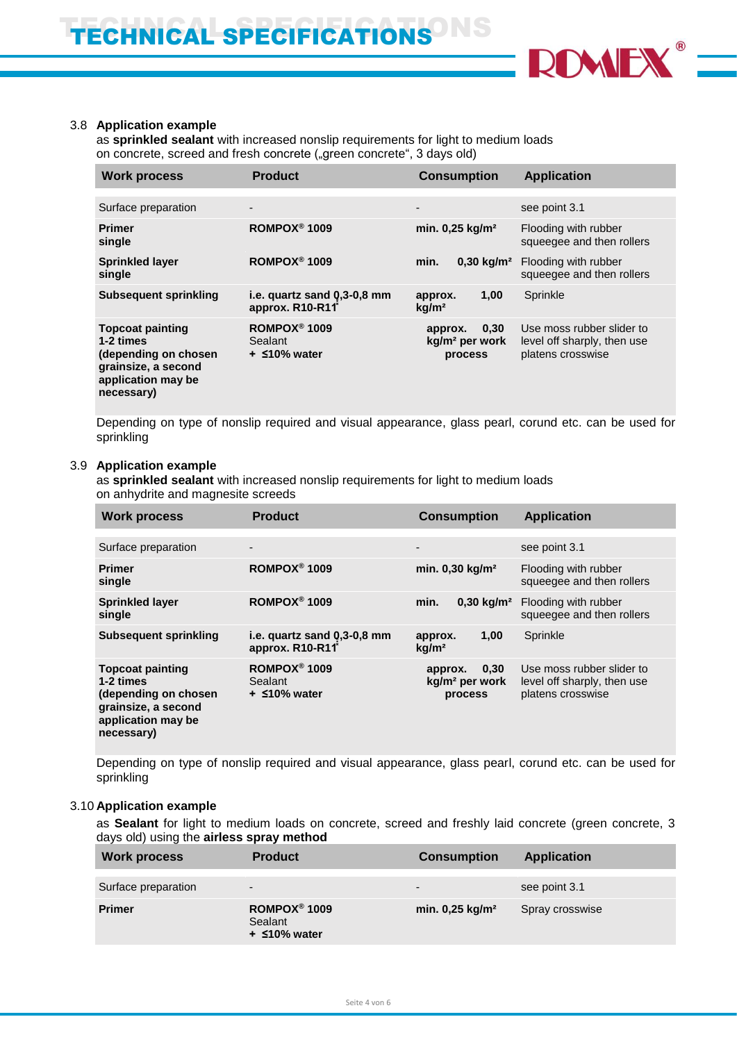

#### 3.8 **Application example**

as **sprinkled sealant** with increased nonslip requirements for light to medium loads on concrete, screed and fresh concrete ("green concrete", 3 days old)

| <b>Work process</b>                                                                                                     | <b>Product</b>                                              | <b>Consumption</b>                                       |                                                                               |
|-------------------------------------------------------------------------------------------------------------------------|-------------------------------------------------------------|----------------------------------------------------------|-------------------------------------------------------------------------------|
| Surface preparation                                                                                                     | $\overline{\phantom{a}}$                                    |                                                          | see point 3.1                                                                 |
| <b>Primer</b><br>single                                                                                                 | ROMPOX <sup>®</sup> 1009                                    | min. $0,25$ kg/m <sup>2</sup>                            | Flooding with rubber<br>squeegee and then rollers                             |
| <b>Sprinkled layer</b><br>single                                                                                        | ROMPOX <sup>®</sup> 1009                                    | min.                                                     | 0,30 kg/m <sup>2</sup> Flooding with rubber<br>squeegee and then rollers      |
| <b>Subsequent sprinkling</b>                                                                                            | i.e. quartz sand 0,3-0,8 mm<br>approx. R10-R11 <sup>*</sup> | 1,00<br>approx.<br>kq/m <sup>2</sup>                     | Sprinkle                                                                      |
| <b>Topcoat painting</b><br>1-2 times<br>(depending on chosen<br>grainsize, a second<br>application may be<br>necessary) | ROMPOX <sup>®</sup> 1009<br>Sealant<br>$+$ $\leq$ 10% water | 0,30<br>approx.<br>kg/m <sup>2</sup> per work<br>process | Use moss rubber slider to<br>level off sharply, then use<br>platens crosswise |

Depending on type of nonslip required and visual appearance, glass pearl, corund etc. can be used for sprinkling

#### 3.9 **Application example**

as **sprinkled sealant** with increased nonslip requirements for light to medium loads on anhydrite and magnesite screeds

| <b>Work process</b>                                                                                                     | <b>Product</b>                                              | <b>Consumption</b>                                       | <b>Application</b>                                                            |
|-------------------------------------------------------------------------------------------------------------------------|-------------------------------------------------------------|----------------------------------------------------------|-------------------------------------------------------------------------------|
| Surface preparation                                                                                                     | $\overline{\phantom{a}}$                                    | $\overline{\phantom{a}}$                                 | see point 3.1                                                                 |
| <b>Primer</b><br>single                                                                                                 | ROMPOX <sup>®</sup> 1009                                    | min. 0,30 kg/m <sup>2</sup>                              | Flooding with rubber<br>squeeqee and then rollers                             |
| <b>Sprinkled layer</b><br>single                                                                                        | ROMPOX <sup>®</sup> 1009                                    | min.                                                     | 0,30 kg/m <sup>2</sup> Flooding with rubber<br>squeegee and then rollers      |
| Subsequent sprinkling                                                                                                   | i.e. quartz sand 0,3-0,8 mm<br>approx. R10-R11              | 1,00<br>approx.<br>kq/m <sup>2</sup>                     | Sprinkle                                                                      |
| <b>Topcoat painting</b><br>1-2 times<br>(depending on chosen<br>grainsize, a second<br>application may be<br>necessary) | ROMPOX <sup>®</sup> 1009<br>Sealant<br>$+$ $\leq$ 10% water | 0,30<br>approx.<br>kg/m <sup>2</sup> per work<br>process | Use moss rubber slider to<br>level off sharply, then use<br>platens crosswise |

Depending on type of nonslip required and visual appearance, glass pearl, corund etc. can be used for sprinkling

#### 3.10 **Application example**

as **Sealant** for light to medium loads on concrete, screed and freshly laid concrete (green concrete, 3 days old) using the **airless spray method**

| <b>Work process</b> | <b>Product</b>                                              | <b>Consumption</b>            | <b>Application</b> |
|---------------------|-------------------------------------------------------------|-------------------------------|--------------------|
| Surface preparation | $\overline{\phantom{0}}$                                    | $\overline{\phantom{0}}$      | see point 3.1      |
| <b>Primer</b>       | ROMPOX <sup>®</sup> 1009<br>Sealant<br>$+$ $\leq$ 10% water | min. $0,25$ kg/m <sup>2</sup> | Spray crosswise    |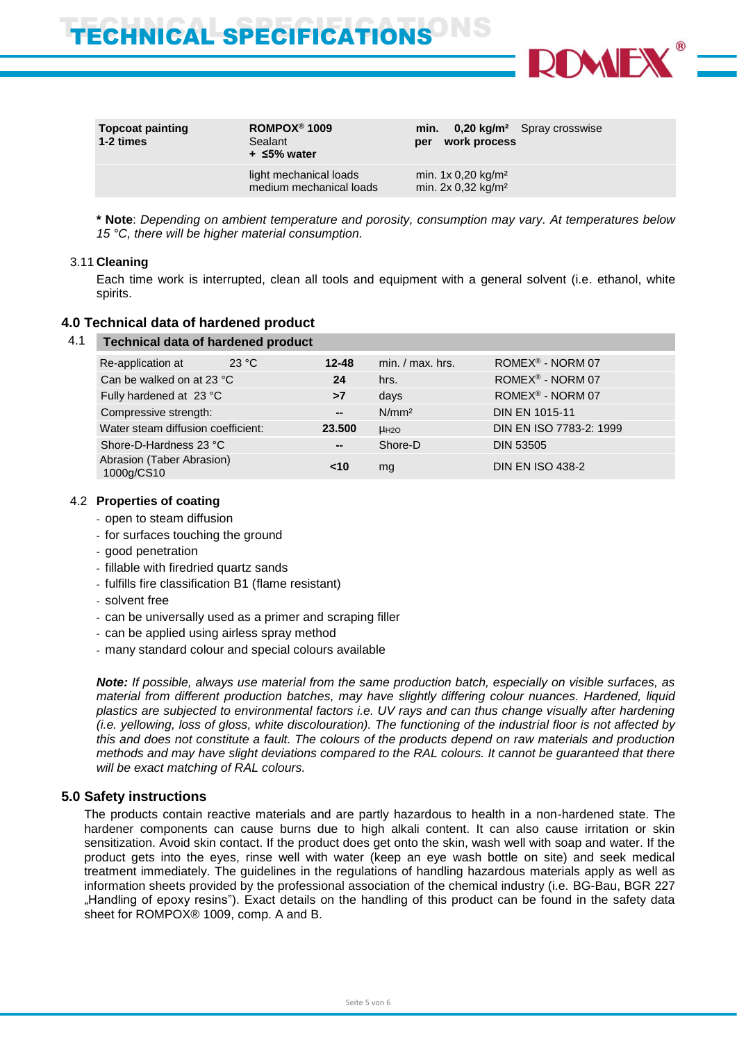TECHNICAL SPECIFICATIONS<sup>ONS</sup>



| <b>Topcoat painting</b><br>1-2 times | ROMPOX <sup>®</sup> 1009<br>Sealant<br>$+$ $\leq$ 5% water | $0,20 \text{ kg/m}^2$ Spray crosswise<br>min.<br>work process<br>per |
|--------------------------------------|------------------------------------------------------------|----------------------------------------------------------------------|
|                                      | light mechanical loads<br>medium mechanical loads          | min. $1x 0,20 kg/m2$<br>min. $2x 0.32$ kg/m <sup>2</sup>             |

**\* Note**: *Depending on ambient temperature and porosity, consumption may vary. At temperatures below 15 °C, there will be higher material consumption.*

#### 3.11 **Cleaning**

Each time work is interrupted, clean all tools and equipment with a general solvent (i.e. ethanol, white spirits.

## **4.0 Technical data of hardened product**

| <b>Technical data of hardened product</b> |       |              |                    |                              |
|-------------------------------------------|-------|--------------|--------------------|------------------------------|
| Re-application at                         | 23 °C | $12 - 48$    | $min. / max.$ hrs. | ROMEX <sup>®</sup> - NORM 07 |
| Can be walked on at 23 °C                 |       | 24           | hrs.               | ROMEX® - NORM 07             |
| Fully hardened at 23 °C                   |       | >7           | days               | ROMEX <sup>®</sup> - NORM 07 |
| Compressive strength:                     |       | $\mathbf{m}$ | N/mm <sup>2</sup>  | <b>DIN EN 1015-11</b>        |
| Water steam diffusion coefficient:        |       | 23.500       | HH2O               | DIN EN ISO 7783-2: 1999      |
| Shore-D-Hardness 23 °C                    |       | --           | Shore-D            | <b>DIN 53505</b>             |
| Abrasion (Taber Abrasion)<br>1000g/CS10   |       | ~10          | mg                 | <b>DIN EN ISO 438-2</b>      |

#### 4.2 **Properties of coating**

- open to steam diffusion
- for surfaces touching the ground
- good penetration
- fillable with firedried quartz sands
- fulfills fire classification B1 (flame resistant)
- solvent free
- can be universally used as a primer and scraping filler
- can be applied using airless spray method
- many standard colour and special colours available

*Note: If possible, always use material from the same production batch, especially on visible surfaces, as material from different production batches, may have slightly differing colour nuances. Hardened, liquid plastics are subjected to environmental factors i.e. UV rays and can thus change visually after hardening (i.e. yellowing, loss of gloss, white discolouration). The functioning of the industrial floor is not affected by this and does not constitute a fault. The colours of the products depend on raw materials and production methods and may have slight deviations compared to the RAL colours. It cannot be guaranteed that there will be exact matching of RAL colours.*

## **5.0 Safety instructions**

The products contain reactive materials and are partly hazardous to health in a non-hardened state. The hardener components can cause burns due to high alkali content. It can also cause irritation or skin sensitization. Avoid skin contact. If the product does get onto the skin, wash well with soap and water. If the product gets into the eyes, rinse well with water (keep an eye wash bottle on site) and seek medical treatment immediately. The guidelines in the regulations of handling hazardous materials apply as well as information sheets provided by the professional association of the chemical industry (i.e. BG-Bau, BGR 227 "Handling of epoxy resins"). Exact details on the handling of this product can be found in the safety data sheet for ROMPOX® 1009, comp. A and B.